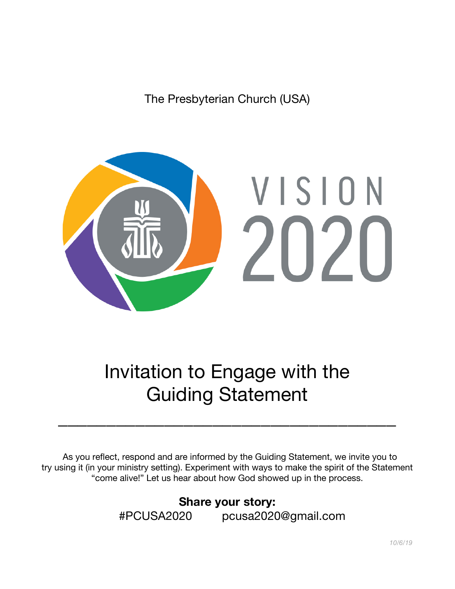The Presbyterian Church (USA)



Invitation to Engage with the Guiding Statement

 $\overline{\phantom{a}}$  , which is a set of the contract of the contract of the contract of the contract of the contract of the contract of the contract of the contract of the contract of the contract of the contract of the contract

As you reflect, respond and are informed by the Guiding Statement, we invite you to try using it (in your ministry setting). Experiment with ways to make the spirit of the Statement "come alive!" Let us hear about how God showed up in the process.

> **Share your story:** #PCUSA2020 pcusa2020@gmail.com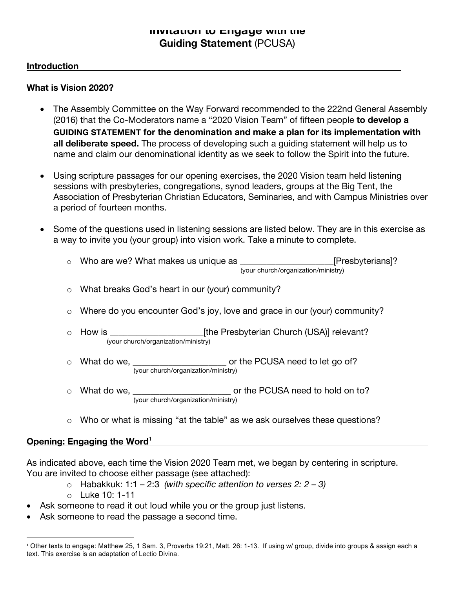### **Invitation to Engage with the Guiding Statement** (PCUSA)

### **Introduction**

### **What is Vision 2020?**

- The Assembly Committee on the Way Forward recommended to the 222nd General Assembly (2016) that the Co-Moderators name a "2020 Vision Team" of fifteen people **to develop a GUIDING STATEMENT for the denomination and make a plan for its implementation with all deliberate speed.** The process of developing such a guiding statement will help us to name and claim our denominational identity as we seek to follow the Spirit into the future.
- Using scripture passages for our opening exercises, the 2020 Vision team held listening sessions with presbyteries, congregations, synod leaders, groups at the Big Tent, the Association of Presbyterian Christian Educators, Seminaries, and with Campus Ministries over a period of fourteen months.
- Some of the questions used in listening sessions are listed below. They are in this exercise as a way to invite you (your group) into vision work. Take a minute to complete.
	- o Who are we? What makes us unique as \_\_\_\_\_\_\_\_\_\_\_\_\_\_\_\_\_\_\_\_\_\_[Presbyterians]? (your church/organization/ministry)
	- o What breaks God's heart in our (your) community?
	- o Where do you encounter God's joy, love and grace in our (your) community?
	- o How is **Example 20** Fine Presbyterian Church (USA)] relevant? (your church/organization/ministry)
	- $\circ$  What do we,  $\circ$  or the PCUSA need to let go of? (your church/organization/ministry)
	- o What do we,  $\blacksquare$  or the PCUSA need to hold on to? (your church/organization/ministry)
	- o Who or what is missing "at the table" as we ask ourselves these questions?

### **Opening: Engaging the Word<sup>1</sup>**

As indicated above, each time the Vision 2020 Team met, we began by centering in scripture. You are invited to choose either passage (see attached):

o Habakkuk: 1:1 – 2:3 *(with specific attention to verses 2: 2 – 3)*

o Luke 10: 1-11

- Ask someone to read it out loud while you or the group just listens.
- Ask someone to read the passage a second time.

 <sup>1</sup> Other texts to engage: Matthew 25, 1 Sam. 3, Proverbs 19:21, Matt. 26: 1-13. If using w/ group, divide into groups & assign each a text. This exercise is an adaptation of Lectio Divina.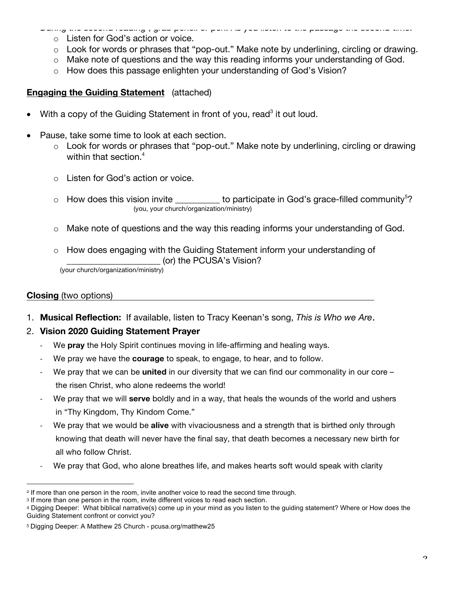- During the second reading2 , grab pencil or pen. As you listen to the passage the second time: o Listen for God's action or voice.
	- o Look for words or phrases that "pop-out." Make note by underlining, circling or drawing.
	- o Make note of questions and the way this reading informs your understanding of God.
	- o How does this passage enlighten your understanding of God's Vision?

## **Engaging the Guiding Statement** (attached)

- With a copy of the Guiding Statement in front of you, read<sup>3</sup> it out loud.
- Pause, take some time to look at each section.
	- o Look for words or phrases that "pop-out." Make note by underlining, circling or drawing within that section. 4
	- o Listen for God's action or voice.
	- $\circ$  How does this vision invite \_\_\_\_\_\_\_\_\_ to participate in God's grace-filled community<sup>5</sup>?<br>(you, your church/organization/ministry)
	- o Make note of questions and the way this reading informs your understanding of God.
	- o How does engaging with the Guiding Statement inform your understanding of \_\_\_\_\_\_\_\_\_\_\_\_\_\_\_\_\_\_\_\_\_ (or) the PCUSA's Vision? (your church/organization/ministry)

### **Closing** (two options)

1. **Musical Reflection:** If available, listen to Tracy Keenan's song, *This is Who we Are*.

### 2. **Vision 2020 Guiding Statement Prayer**

- We **pray** the Holy Spirit continues moving in life-affirming and healing ways.
- We pray we have the **courage** to speak, to engage, to hear, and to follow.
- We pray that we can be **united** in our diversity that we can find our commonality in our core the risen Christ, who alone redeems the world!
- We pray that we will **serve** boldly and in a way, that heals the wounds of the world and ushers in "Thy Kingdom, Thy Kindom Come."
- We pray that we would be **alive** with vivaciousness and a strength that is birthed only through knowing that death will never have the final say, that death becomes a necessary new birth for all who follow Christ.
- We pray that God, who alone breathes life, and makes hearts soft would speak with clarity

<sup>&</sup>lt;sup>2</sup> If more than one person in the room, invite another voice to read the second time through.

<sup>3</sup> If more than one person in the room, invite different voices to read each section.

<sup>4</sup> Digging Deeper: What biblical narrative(s) come up in your mind as you listen to the guiding statement? Where or How does the Guiding Statement confront or convict you?

<sup>5</sup> Digging Deeper: A Matthew 25 Church - pcusa.org/matthew25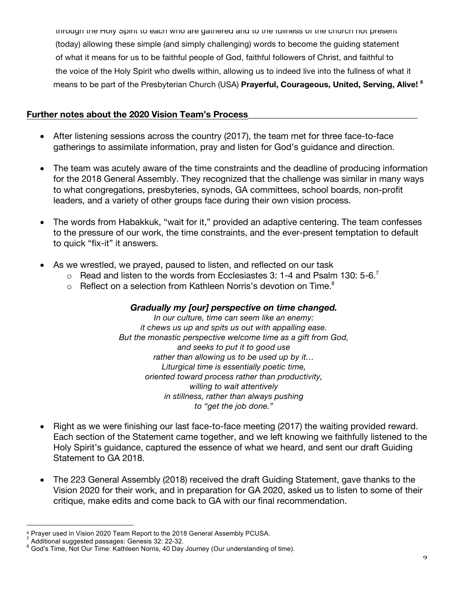through the Holy Spirit to each who are gathered and to the fullness of the church not present (today) allowing these simple (and simply challenging) words to become the guiding statement of what it means for us to be faithful people of God, faithful followers of Christ, and faithful to the voice of the Holy Spirit who dwells within, allowing us to indeed live into the fullness of what it means to be part of the Presbyterian Church (USA) **Prayerful, Courageous, United, Serving, Alive! 6**

### **Further notes about the 2020 Vision Team's Process\_\_\_\_\_\_\_\_\_\_\_\_\_\_\_\_\_\_\_\_\_\_\_\_\_\_\_\_\_\_\_\_\_\_\_\_\_\_**

- After listening sessions across the country (2017), the team met for three face-to-face gatherings to assimilate information, pray and listen for God's guidance and direction.
- The team was acutely aware of the time constraints and the deadline of producing information for the 2018 General Assembly. They recognized that the challenge was similar in many ways to what congregations, presbyteries, synods, GA committees, school boards, non-profit leaders, and a variety of other groups face during their own vision process.
- The words from Habakkuk, "wait for it," provided an adaptive centering. The team confesses to the pressure of our work, the time constraints, and the ever-present temptation to default to quick "fix-it" it answers.
- As we wrestled, we prayed, paused to listen, and reflected on our task
	- $\circ$  Read and listen to the words from Ecclesiastes 3: 1-4 and Psalm 130: 5-6.<sup>7</sup>
	- $\circ$  Reflect on a selection from Kathleen Norris's devotion on Time.<sup>8</sup>

### *Gradually my [our] perspective on time changed.*

*In our culture, time can seem like an enemy: it chews us up and spits us out with appalling ease. But the monastic perspective welcome time as a gift from God, and seeks to put it to good use rather than allowing us to be used up by it… Liturgical time is essentially poetic time, oriented toward process rather than productivity, willing to wait attentively in stillness, rather than always pushing to "get the job done."*

- Right as we were finishing our last face-to-face meeting (2017) the waiting provided reward. Each section of the Statement came together, and we left knowing we faithfully listened to the Holy Spirit's guidance, captured the essence of what we heard, and sent our draft Guiding Statement to GA 2018.
- The 223 General Assembly (2018) received the draft Guiding Statement, gave thanks to the Vision 2020 for their work, and in preparation for GA 2020, asked us to listen to some of their critique, make edits and come back to GA with our final recommendation.

<sup>&</sup>lt;sup>6</sup> Prayer used in Vision 2020 Team Report to the 2018 General Assembly PCUSA.<br><sup>7</sup> Additional suggested passages: Genesis 32: 22-32.<br><sup>8</sup> God's Time, Not Our Time: Kathleen Norris, 40 Day Journey (Our understanding of time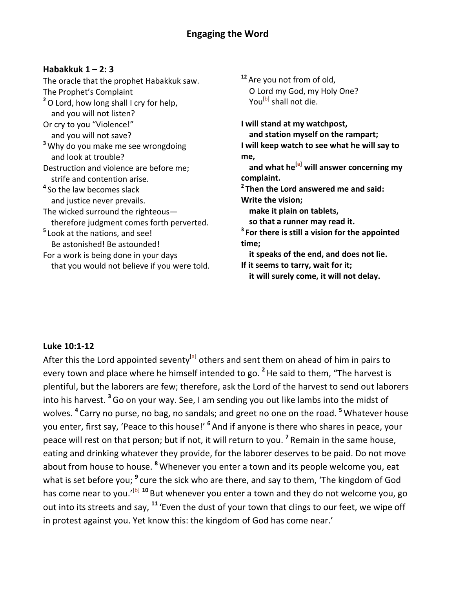### **Habakkuk 1 – 2: 3**

The oracle that the prophet Habakkuk saw. The Prophet's Complaint <sup>2</sup>O Lord, how long shall I cry for help, and you will not listen? Or cry to you "Violence!" and you will not save? <sup>3</sup> Why do you make me see wrongdoing and look at trouble? Destruction and violence are before me; strife and contention arise. <sup>4</sup> So the law becomes slack and justice never prevails. The wicked surround the righteous therefore judgment comes forth perverted. <sup>5</sup> Look at the nations, and see! Be astonished! Be astounded! For a work is being done in your days that you would not believe if you were told. <sup>12</sup> Are you not from of old, O Lord my God, my Holy One? You<sup>[b]</sup> shall not die.

**I** will stand at my watchpost, and station myself on the rampart; **I** will keep watch to see what he will say to **me,** and what he<sup>[a]</sup> will answer concerning my **complaint. <sup>2</sup> Then the Lord answered me and said: Write the vision; make it plain on tablets,** so that a runner may read it. <sup>3</sup> For there is still a vision for the appointed **time; it speaks of the end, and does not lie. If it seems to tarry, wait for it; it will surely come, it will not delay.** 

### **Luke 10:1-12**

After this the Lord appointed seventy<sup>[a]</sup> others and sent them on ahead of him in pairs to every town and place where he himself intended to go. <sup>2</sup>He said to them, "The harvest is plentiful, but the laborers are few; therefore, ask the Lord of the harvest to send out laborers into his harvest. <sup>3</sup> Go on your way. See, I am sending you out like lambs into the midst of wolves. <sup>4</sup> Carry no purse, no bag, no sandals; and greet no one on the road. <sup>5</sup> Whatever house you enter, first say, 'Peace to this house!' <sup>6</sup> And if anyone is there who shares in peace, your peace will rest on that person; but if not, it will return to you. <sup>7</sup> Remain in the same house, eating and drinking whatever they provide, for the laborer deserves to be paid. Do not move about from house to house. <sup>8</sup> Whenever you enter a town and its people welcome you, eat what is set before you; <sup>9</sup> cure the sick who are there, and say to them, 'The kingdom of God has come near to you.'<sup>[b] 10</sup> But whenever you enter a town and they do not welcome you, go out into its streets and say, <sup>11</sup> 'Even the dust of your town that clings to our feet, we wipe off in protest against you. Yet know this: the kingdom of God has come near.'